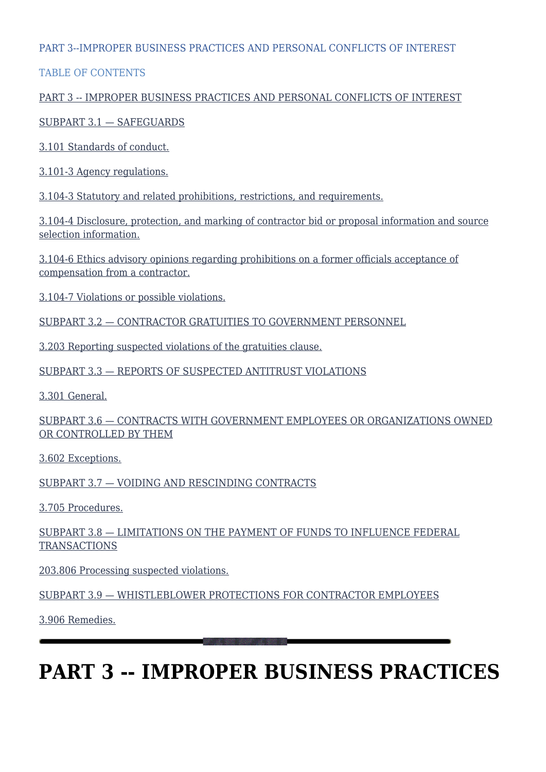#### PART 3--IMPROPER BUSINESS PRACTICES AND PERSONAL CONFLICTS OF INTEREST

#### TABLE OF CONTENTS

#### [PART 3 -- IMPROPER BUSINESS PRACTICES AND PERSONAL CONFLICTS OF INTEREST](#page--1-0)

#### [SUBPART 3.1 — SAFEGUARDS](#page--1-0)

[3.101 Standards of conduct.](#page--1-0)

[3.101-3 Agency regulations.](#page--1-0)

[3.104-3 Statutory and related prohibitions, restrictions, and requirements.](#page--1-0)

[3.104-4 Disclosure, protection, and marking of contractor bid or proposal information and source](#page--1-0) [selection information.](#page--1-0)

[3.104-6 Ethics advisory opinions regarding prohibitions on a former officials acceptance of](#page--1-0) [compensation from a contractor.](#page--1-0)

[3.104-7 Violations or possible violations.](#page--1-0)

[SUBPART 3.2 — CONTRACTOR GRATUITIES TO GOVERNMENT PERSONNEL](#page--1-0)

[3.203 Reporting suspected violations of the gratuities clause.](#page--1-0)

[SUBPART 3.3 — REPORTS OF SUSPECTED ANTITRUST VIOLATIONS](#page--1-0)

[3.301 General.](#page--1-0)

[SUBPART 3.6 — CONTRACTS WITH GOVERNMENT EMPLOYEES OR ORGANIZATIONS OWNED](#page--1-0) [OR CONTROLLED BY THEM](#page--1-0)

[3.602 Exceptions.](#page--1-0)

[SUBPART 3.7 — VOIDING AND RESCINDING CONTRACTS](#page--1-0)

[3.705 Procedures.](#page--1-0)

[SUBPART 3.8 — LIMITATIONS ON THE PAYMENT OF FUNDS TO INFLUENCE FEDERAL](#page--1-0) **[TRANSACTIONS](#page--1-0)** 

[203.806 Processing suspected violations.](#page--1-0)

[SUBPART 3.9 — WHISTLEBLOWER PROTECTIONS FOR CONTRACTOR EMPLOYEES](#page--1-0)

[3.906 Remedies.](#page--1-0)

# **PART 3 -- IMPROPER BUSINESS PRACTICES**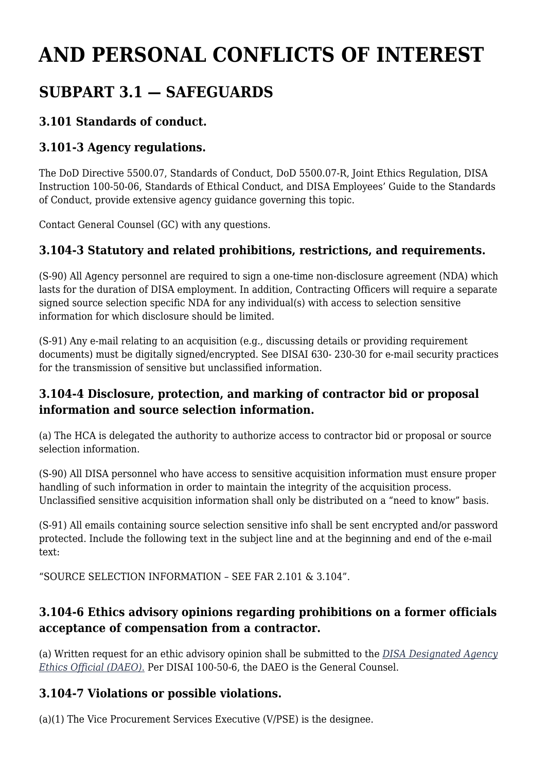# **AND PERSONAL CONFLICTS OF INTEREST**

# **SUBPART 3.1 — SAFEGUARDS**

### **3.101 Standards of conduct.**

### **3.101-3 Agency regulations.**

The DoD Directive 5500.07, Standards of Conduct, DoD 5500.07-R, Joint Ethics Regulation, DISA Instruction 100-50-06, Standards of Ethical Conduct, and DISA Employees' Guide to the Standards of Conduct, provide extensive agency guidance governing this topic.

Contact General Counsel (GC) with any questions.

### **3.104-3 Statutory and related prohibitions, restrictions, and requirements.**

(S-90) All Agency personnel are required to sign a one-time non-disclosure agreement (NDA) which lasts for the duration of DISA employment. In addition, Contracting Officers will require a separate signed source selection specific NDA for any individual(s) with access to selection sensitive information for which disclosure should be limited.

(S-91) Any e-mail relating to an acquisition (e.g., discussing details or providing requirement documents) must be digitally signed/encrypted. See DISAI 630- 230-30 for e-mail security practices for the transmission of sensitive but unclassified information.

### **3.104-4 Disclosure, protection, and marking of contractor bid or proposal information and source selection information.**

(a) The HCA is delegated the authority to authorize access to contractor bid or proposal or source selection information.

(S-90) All DISA personnel who have access to sensitive acquisition information must ensure proper handling of such information in order to maintain the integrity of the acquisition process. Unclassified sensitive acquisition information shall only be distributed on a "need to know" basis.

(S-91) All emails containing source selection sensitive info shall be sent encrypted and/or password protected. Include the following text in the subject line and at the beginning and end of the e-mail text:

"SOURCE SELECTION INFORMATION – SEE FAR 2.101 & 3.104".

### **3.104-6 Ethics advisory opinions regarding prohibitions on a former officials acceptance of compensation from a contractor.**

(a) Written request for an ethic advisory opinion shall be submitted to the *[DISA Designated Agency](mailto:disa.meade.gc.mbx.disa-gen-counsel-ethics@mail.mil) [Ethics Official \(DAEO\)](mailto:disa.meade.gc.mbx.disa-gen-counsel-ethics@mail.mil)*[.](mailto:disa.meade.gc.mbx.disa-gen-counsel-ethics@mail.mil) Per DISAI 100-50-6, the DAEO is the General Counsel.

#### **3.104-7 Violations or possible violations.**

(a)(1) The Vice Procurement Services Executive (V/PSE) is the designee.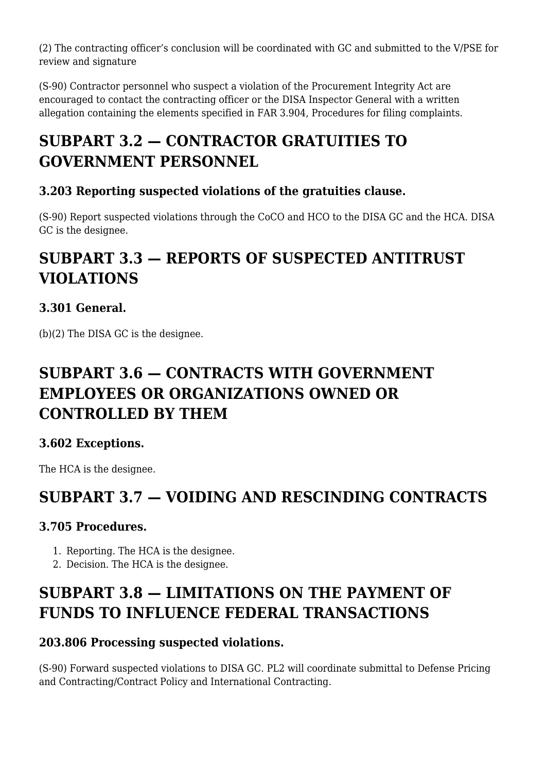(2) The contracting officer's conclusion will be coordinated with GC and submitted to the V/PSE for review and signature

(S-90) Contractor personnel who suspect a violation of the Procurement Integrity Act are encouraged to contact the contracting officer or the DISA Inspector General with a written allegation containing the elements specified in FAR 3.904, Procedures for filing complaints.

# **SUBPART 3.2 — CONTRACTOR GRATUITIES TO GOVERNMENT PERSONNEL**

### **3.203 Reporting suspected violations of the gratuities clause.**

(S-90) Report suspected violations through the CoCO and HCO to the DISA GC and the HCA. DISA GC is the designee.

## **SUBPART 3.3 — REPORTS OF SUSPECTED ANTITRUST VIOLATIONS**

### **3.301 General.**

(b)(2) The DISA GC is the designee.

### **SUBPART 3.6 — CONTRACTS WITH GOVERNMENT EMPLOYEES OR ORGANIZATIONS OWNED OR CONTROLLED BY THEM**

### **3.602 Exceptions.**

The HCA is the designee.

### **SUBPART 3.7 — VOIDING AND RESCINDING CONTRACTS**

### **3.705 Procedures.**

- 1. Reporting. The HCA is the designee.
- 2. Decision. The HCA is the designee.

## **SUBPART 3.8 — LIMITATIONS ON THE PAYMENT OF FUNDS TO INFLUENCE FEDERAL TRANSACTIONS**

### **203.806 Processing suspected violations.**

(S-90) Forward suspected violations to DISA GC. PL2 will coordinate submittal to Defense Pricing and Contracting/Contract Policy and International Contracting.